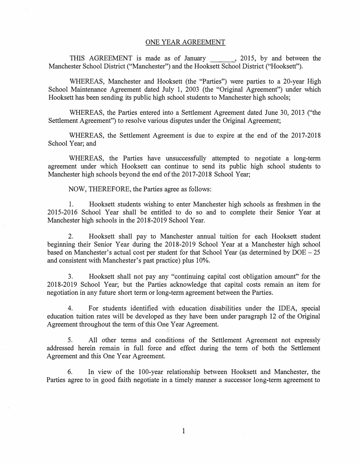THIS AGREEMENT is made as of January , 2015, by and between the Manchester School District ("Manchester") and the Hooksett School District ("Hooksett").

WHEREAS, Manchester and Hooksett (the "Parties") were parties to a 20-year High School Maintenance Agreement dated July 1, 2003 (the "Original Agreement") under which Hooksett has been sending its public high school students to Manchester high schools;

WHEREAS, the Parties entered into a Settlement Agreement dated June 30, 2013 ("the Settlement Agreement") to resolve various disputes under the Original Agreement;

WHEREAS, the Settlement Agreement is due to expire at the end of the 2017-2018 School Year; and

WHEREAS, the Parties have unsuccessfully attempted to negotiate a long-term agreement under which Hooksett can continue to send its public high school students to Manchester high schools beyond the end of the 2017-2018 School Year;

NOW, THEREFORE, the Parties agree as follows:

1. Hooksett students wishing to enter Manchester high schools as freshmen in the 2015-2016 School Year shall be entitled to do so and to complete their Senior Year at Manchester high schools in the 2018-2019 School Year.

2. Hooksett shall pay to Manchester annual tuition for each Hooksett student beginning their Senior Year during the 2018-2019 School Year at a Manchester high school based on Manchester's actual cost per student for that School Year (as determined by  $DOE - 25$ and consistent with Manchester's past practice) plus 10%.

3. Hooksett shall not pay any "continuing capital cost obligation amount" for the 2018-2019 School Year; but the Parties acknowledge that capital costs remain an item for negotiation in any future short term or long-term agreement between the Parties.

4. For students identified with education disabilities under the IDEA, special education tuition rates will be developed as they have been under paragraph 12 of the Original Agreement throughout the term of this One Year Agreement.

5. All other terms and conditions of the Settlement Agreement not expressly addressed herein remain in full force and effect during the term of both the Settlement Agreement and this One Year Agreement.

6. In view of the 100-year relationship between Hooksett and Manchester, the Parties agree to in good faith negotiate in a timely manner a successor long-term agreement to

1